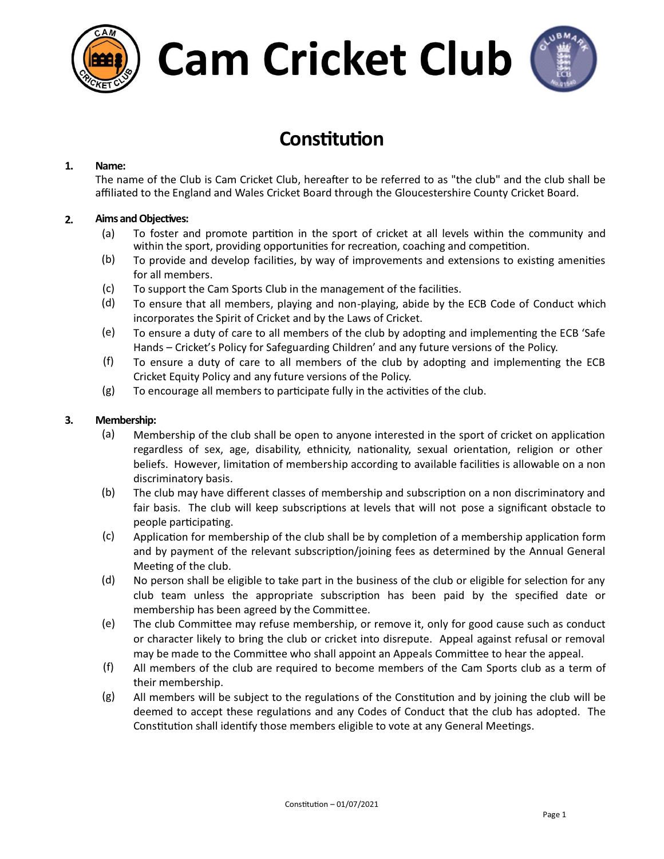



### **Constitution**

#### **1. Name:**

The name of the Club is Cam Cricket Club, hereafter to be referred to as "the club" and the club shall be affiliated to the England and Wales Cricket Board through the Gloucestershire County Cricket Board.

#### **2.** Aims and Objectives:

- (a) To foster and promote partition in the sport of cricket at all levels within the community and within the sport, providing opportunities for recreation, coaching and competition.
- $(b)$  To provide and develop facilities, by way of improvements and extensions to existing amenities for all members.
- (c) To support the Cam Sports Club in the management of the facilies.
- (d) To ensure that all members, playing and non-playing, abide by the ECB Code of Conduct which incorporates the Spirit of Cricket and by the Laws of Cricket.
- (e) To ensure a duty of care to all members of the club by adopting and implementing the ECB 'Safe Hands – Cricket's Policy for Safeguarding Children' and any future versions of the Policy.
- $(f)$  To ensure a duty of care to all members of the club by adopting and implementing the ECB Cricket Equity Policy and any future versions of the Policy.
- $(g)$  To encourage all members to participate fully in the activities of the club.

#### **3. Membership:**

- (a) Membership of the club shall be open to anyone interested in the sport of cricket on application regardless of sex, age, disability, ethnicity, nationality, sexual orientation, religion or other beliefs. However, limitation of membership according to available facilities is allowable on a non discriminatory basis.
- (b) The club may have different classes of membership and subscription on a non discriminatory and fair basis. The club will keep subscriptions at levels that will not pose a significant obstacle to people participating.
- (c) Application for membership of the club shall be by completion of a membership application form and by payment of the relevant subscription/joining fees as determined by the Annual General Meeting of the club.
- $(d)$  No person shall be eligible to take part in the business of the club or eligible for selection for any club team unless the appropriate subscription has been paid by the specified date or membership has been agreed by the Committee.
- $(e)$  The club Committee may refuse membership, or remove it, only for good cause such as conduct or character likely to bring the club or cricket into disrepute. Appeal against refusal or removal may be made to the Committee who shall appoint an Appeals Committee to hear the appeal.
- (f) All members of the club are required to become members of the Cam Sports club as a term of their membership.
- $(g)$  All members will be subject to the regulations of the Constitution and by joining the club will be deemed to accept these regulations and any Codes of Conduct that the club has adopted. The Constitution shall identify those members eligible to vote at any General Meetings.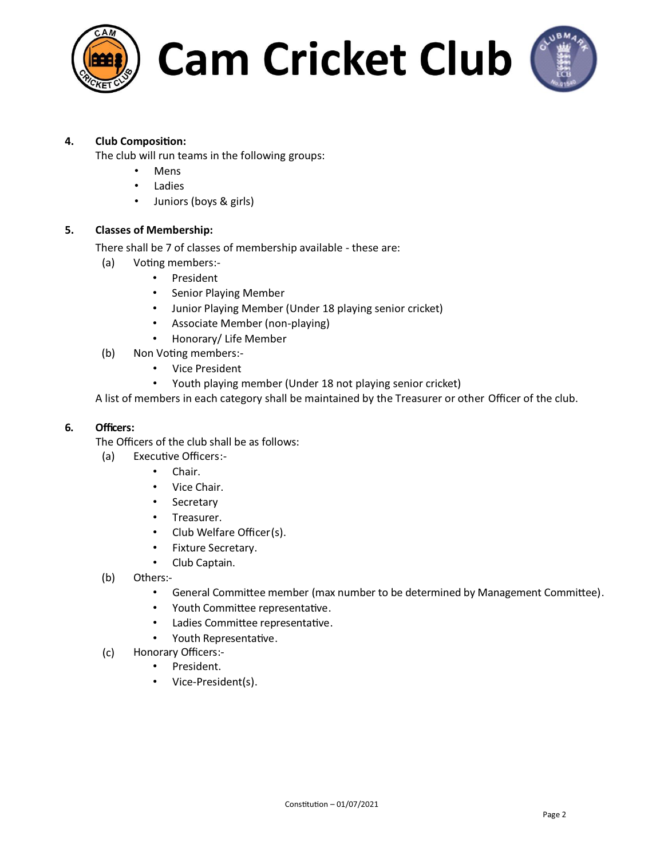



#### **4. Club Composion:**

The club will run teams in the following groups:

- **Mens**
- Ladies
- Juniors (boys & girls)

#### **5. Classes of Membership:**

There shall be 7 of classes of membership available - these are:

- (a) Voting members:-
	- President
	- Senior Playing Member
	- Junior Playing Member (Under 18 playing senior cricket)
	- Associate Member (non-playing)
	- Honorary/ Life Member
- (b) Non Voting members:-
	- Vice President
	- Youth playing member (Under 18 not playing senior cricket)

A list of members in each category shall be maintained by the Treasurer or other Officer of the club.

#### **6. Officers:**

The Officers of the club shall be as follows:

- $(a)$  Executive Officers:-
	- Chair.
	- Vice Chair.
	- Secretary
	- Treasurer.
	- Club Welfare Officer(s).
	- Fixture Secretary.
	- Club Captain.
- (b) Others:-
	- General Committee member (max number to be determined by Management Committee).
	- Youth Committee representative.
	- Ladies Committee representative.
	- Youth Representative.
- (c) Honorary Officers:-
	- President.
	- Vice-President(s).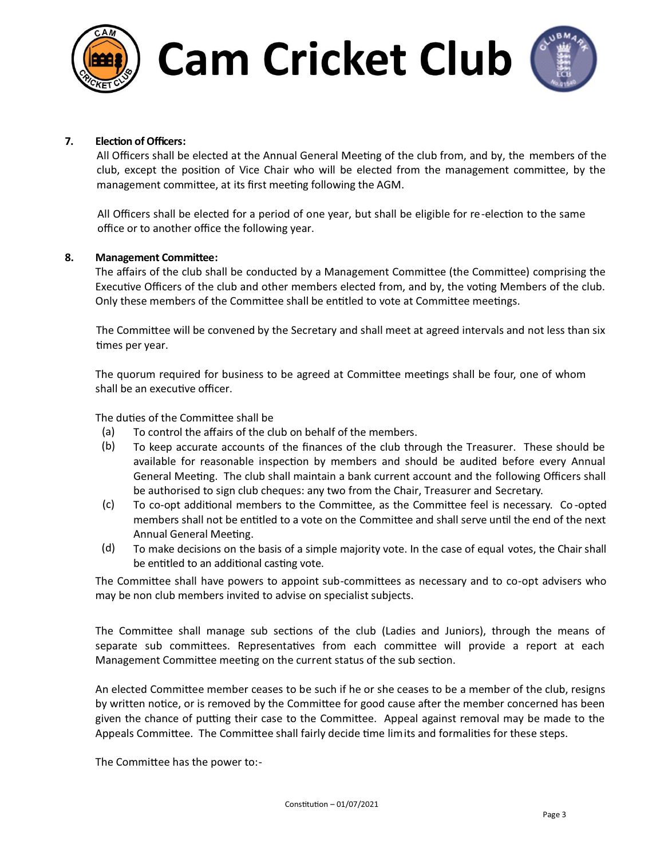



#### **7. Election of Officers:**

All Officers shall be elected at the Annual General Meeting of the club from, and by, the members of the club, except the position of Vice Chair who will be elected from the management committee, by the management committee, at its first meeting following the AGM.

All Officers shall be elected for a period of one year, but shall be eligible for re-election to the same office or to another office the following year.

#### 8. Management Committee:

The affairs of the club shall be conducted by a Management Committee (the Committee) comprising the Executive Officers of the club and other members elected from, and by, the voting Members of the club. Only these members of the Committee shall be entitled to vote at Committee meetings.

The Committee will be convened by the Secretary and shall meet at agreed intervals and not less than six times per year.

The quorum required for business to be agreed at Committee meetings shall be four, one of whom shall be an executive officer.

The duties of the Committee shall be

- (a) To control the affairs of the club on behalf of the members.
- (b) To keep accurate accounts of the finances of the club through the Treasurer. These should be available for reasonable inspection by members and should be audited before every Annual General Meeting. The club shall maintain a bank current account and the following Officers shall be authorised to sign club cheques: any two from the Chair, Treasurer and Secretary.
- (c) To co-opt additional members to the Committee, as the Committee feel is necessary. Co-opted members shall not be entitled to a vote on the Committee and shall serve until the end of the next Annual General Meeting.
- (d) To make decisions on the basis of a simple majority vote. In the case of equal votes, the Chair shall be entitled to an additional casting vote.

The Committee shall have powers to appoint sub-committees as necessary and to co-opt advisers who may be non club members invited to advise on specialist subjects.

The Committee shall manage sub sections of the club (Ladies and Juniors), through the means of separate sub committees. Representatives from each committee will provide a report at each Management Committee meeting on the current status of the sub section.

An elected Committee member ceases to be such if he or she ceases to be a member of the club, resigns by written notice, or is removed by the Committee for good cause after the member concerned has been given the chance of putting their case to the Committee. Appeal against removal may be made to the Appeals Committee. The Committee shall fairly decide time limits and formalities for these steps.

The Committee has the power to:-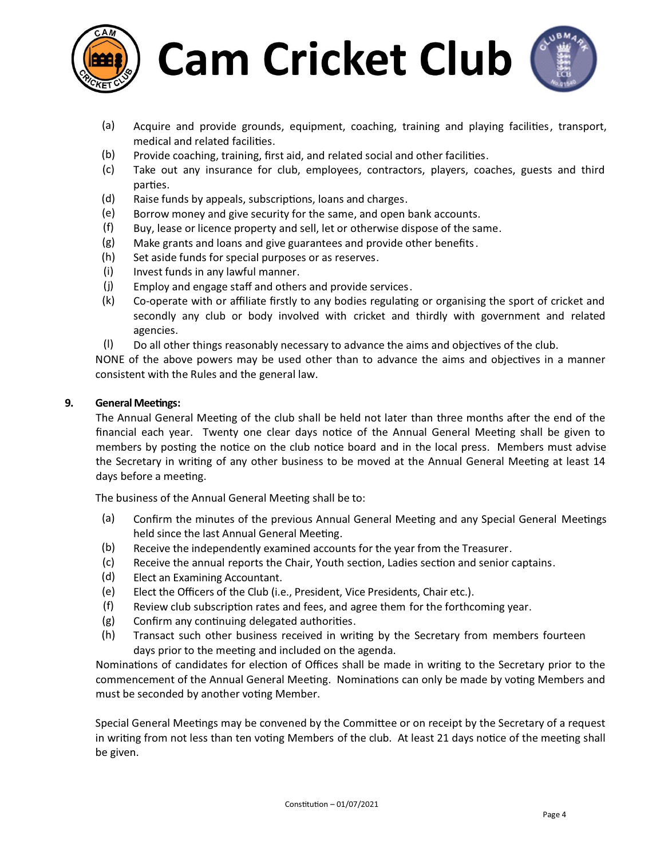



- (a) Acquire and provide grounds, equipment, coaching, training and playing facilies, transport, medical and related facilities.
- (b) Provide coaching, training, first aid, and related social and other facilies.
- (c) Take out any insurance for club, employees, contractors, players, coaches, guests and third parties.
- (d) Raise funds by appeals, subscriptions, loans and charges.
- (e) Borrow money and give security for the same, and open bank accounts.
- (f) Buy, lease or licence property and sell, let or otherwise dispose of the same.
- (g) Make grants and loans and give guarantees and provide other benefits.
- (h) Set aside funds for special purposes or as reserves.
- (i) Invest funds in any lawful manner.
- (j) Employ and engage staff and others and provide services.
- (k) Co-operate with or affiliate firstly to any bodies regulating or organising the sport of cricket and secondly any club or body involved with cricket and thirdly with government and related agencies.
- $(l)$  Do all other things reasonably necessary to advance the aims and objectives of the club.

NONE of the above powers may be used other than to advance the aims and objectives in a manner consistent with the Rules and the general law.

#### **9.** General Meetings:

The Annual General Meeting of the club shall be held not later than three months after the end of the financial each year. Twenty one clear days notice of the Annual General Meeting shall be given to members by posting the notice on the club notice board and in the local press. Members must advise the Secretary in writing of any other business to be moved at the Annual General Meeting at least 14 days before a meeting.

The business of the Annual General Meeting shall be to:

- (a) Confirm the minutes of the previous Annual General Meeting and any Special General Meetings held since the last Annual General Meeting.
- (b) Receive the independently examined accounts for the year from the Treasurer.
- (c) Receive the annual reports the Chair, Youth section, Ladies section and senior captains.
- (d) Elect an Examining Accountant.
- (e) Elect the Officers of the Club (i.e., President, Vice Presidents, Chair etc.).
- $(f)$  Review club subscription rates and fees, and agree them for the forthcoming year.
- $(g)$  Confirm any continuing delegated authorities.
- (h) Transact such other business received in writing by the Secretary from members fourteen days prior to the meeting and included on the agenda.

Nominations of candidates for election of Offices shall be made in writing to the Secretary prior to the commencement of the Annual General Meeting. Nominations can only be made by voting Members and must be seconded by another voting Member.

Special General Meetings may be convened by the Committee or on receipt by the Secretary of a request in writing from not less than ten voting Members of the club. At least 21 days notice of the meeting shall be given.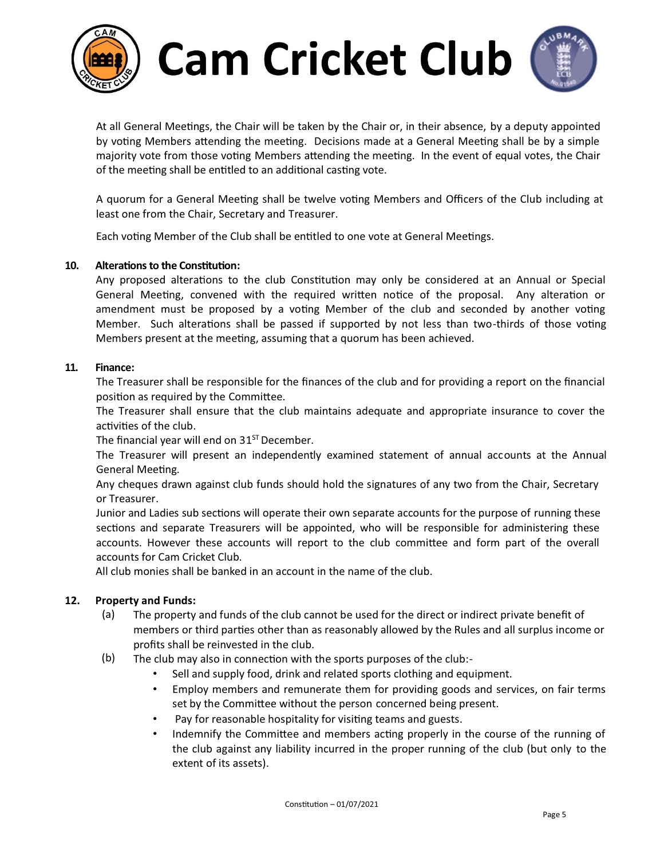



At all General Meetings, the Chair will be taken by the Chair or, in their absence, by a deputy appointed by voting Members attending the meeting. Decisions made at a General Meeting shall be by a simple majority vote from those voting Members attending the meeting. In the event of equal votes, the Chair of the meeting shall be entitled to an additional casting vote.

A quorum for a General Meeting shall be twelve voting Members and Officers of the Club including at least one from the Chair, Secretary and Treasurer.

Each voting Member of the Club shall be entitled to one vote at General Meetings.

#### **10.** Alterations to the Constitution:

Any proposed alterations to the club Constitution may only be considered at an Annual or Special General Meeting, convened with the required written notice of the proposal. Any alteration or amendment must be proposed by a voting Member of the club and seconded by another voting Member. Such alterations shall be passed if supported by not less than two-thirds of those voting Members present at the meeting, assuming that a quorum has been achieved.

#### **11. Finance:**

The Treasurer shall be responsible for the finances of the club and for providing a report on the financial position as required by the Committee.

The Treasurer shall ensure that the club maintains adequate and appropriate insurance to cover the activities of the club.

The financial year will end on  $31<sup>ST</sup>$  December.

The Treasurer will present an independently examined statement of annual accounts at the Annual General Meeting.

Any cheques drawn against club funds should hold the signatures of any two from the Chair, Secretary or Treasurer.

Junior and Ladies sub sections will operate their own separate accounts for the purpose of running these sections and separate Treasurers will be appointed, who will be responsible for administering these accounts. However these accounts will report to the club committee and form part of the overall accounts for Cam Cricket Club.

All club monies shall be banked in an account in the name of the club.

#### **12. Property and Funds:**

- (a) The property and funds of the club cannot be used for the direct or indirect private benefit of members or third parties other than as reasonably allowed by the Rules and all surplus income or profits shall be reinvested in the club.
- $(b)$  The club may also in connection with the sports purposes of the club:-
	- Sell and supply food, drink and related sports clothing and equipment.
	- Employ members and remunerate them for providing goods and services, on fair terms set by the Committee without the person concerned being present.
	- Pay for reasonable hospitality for visiting teams and guests.
	- Indemnify the Committee and members acting properly in the course of the running of the club against any liability incurred in the proper running of the club (but only to the extent of its assets).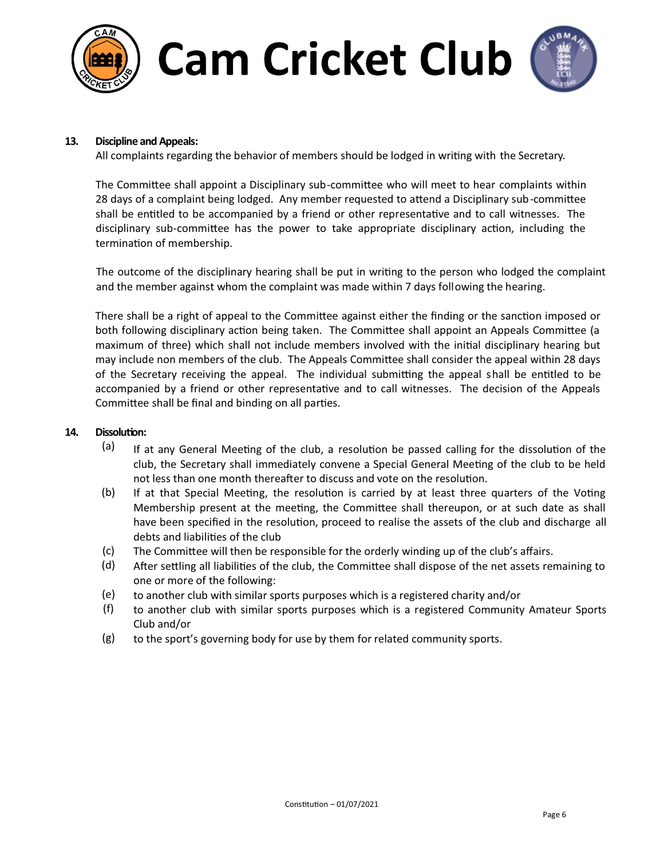



#### **13. Discipline and Appeals:**

All complaints regarding the behavior of members should be lodged in writing with the Secretary.

The Committee shall appoint a Disciplinary sub-committee who will meet to hear complaints within 28 days of a complaint being lodged. Any member requested to attend a Disciplinary sub-committee shall be entitled to be accompanied by a friend or other representative and to call witnesses. The disciplinary sub-committee has the power to take appropriate disciplinary action, including the termination of membership.

The outcome of the disciplinary hearing shall be put in writing to the person who lodged the complaint and the member against whom the complaint was made within 7 days following the hearing.

There shall be a right of appeal to the Committee against either the finding or the sanction imposed or both following disciplinary action being taken. The Committee shall appoint an Appeals Committee (a maximum of three) which shall not include members involved with the initial disciplinary hearing but may include non members of the club. The Appeals Committee shall consider the appeal within 28 days of the Secretary receiving the appeal. The individual submitting the appeal shall be entitled to be accompanied by a friend or other representative and to call witnesses. The decision of the Appeals Committee shall be final and binding on all parties.

#### **14.** Dissolution:

- $(a)$  If at any General Meeting of the club, a resolution be passed calling for the dissolution of the club, the Secretary shall immediately convene a Special General Meeting of the club to be held not less than one month thereafter to discuss and vote on the resolution.
- (b) If at that Special Meeting, the resolution is carried by at least three quarters of the Voting Membership present at the meeting, the Committee shall thereupon, or at such date as shall have been specified in the resolution, proceed to realise the assets of the club and discharge all debts and liabilities of the club
- $(c)$  The Committee will then be responsible for the orderly winding up of the club's affairs.
- (d) After settling all liabilities of the club, the Committee shall dispose of the net assets remaining to one or more of the following:
- (e) to another club with similar sports purposes which is a registered charity and/or
- (f) to another club with similar sports purposes which is a registered Community Amateur Sports Club and/or
- (g) to the sport's governing body for use by them for related community sports.